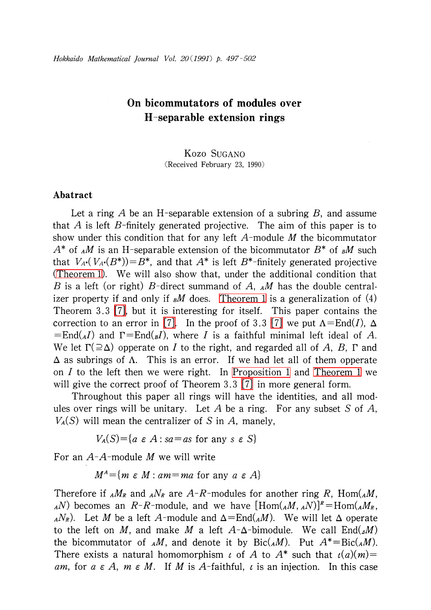## On bicommutators of modules over H-separable extension rings

Kozo SUGANO (Received February 23, 1990)

## Abatract

Let a ring A be an H-separable extension of a subring B, and assume that A is left B-finitely generated projective. The aim of this paper is to show under this condition that for any left  $A$ -module  $M$  the bicommutator  $A^{*}$  of  $_{A}M$  is an H-separable extension of the bicommutator  $B^{*}$  of  $_{B}M$  such that  $V_{A*}(V_{A*}(B^{*}))=B^{*}$ , and that  $A^{*}$  is left  $B^{*}$ -finitely generated projective [\(Theorem](#page-2-0) 1). We will also show that, under the additional condition that B is a left (or right) B-direct summand of A,  $_A M$  has the double centralizer property if and only if  $\mu$  does. [Theorem](#page-2-0) 1 is a generalization of (4) Theorem 3.3 [\[7\],](#page-4-0) but it is interesting for itself. This paper contains the correction to an error in [\[7\].](#page-4-0) In the proof of 3.3 [\[7\]](#page-4-0) we put  $\Lambda=\text{End}(I)$ ,  $\Delta$  $=End(_{A}I)$  and  $\Gamma=End(_{B}I)$ , where I is a faithful minimal left ideal of A. We let  $\Gamma(\geq\Delta)$  opperate on I to the right, and regarded all of A, B,  $\Gamma$  and  $\Delta$  as subrings of  $\Lambda$ . This is an error. If we had let all of them opperate on I to the left then we were right. In [Proposition](#page-1-0) <sup>1</sup> and [Theorem](#page-2-0) <sup>1</sup> we will give the correct proof of Theorem 3.3 [\[7\]](#page-4-0) in more general form.

Throughout this paper all rings will have the identities, and all modules over rings will be unitary. Let A be a ring. For any subset S of A,  $V_{A}(S)$  will mean the centralizer of S in A, manely,

 $V_{A}(S) = \{ a \in A : sa = as \text{ for any } s \in S \}$ 

For an  $A$ - $A$ -module M we will write

 $M^{A}$  = { $m\;\varepsilon\;M$  : am=ma for any a  $\varepsilon\;A\}$ 

Therefore if  $_A M_{R}$  and  $_A N_{R}$  are A-R-modules for another ring R, Hom( $_A M$ ,  $_A(N)$  becomes an R-R-module, and we have  $[\text{Hom}(A M_{ A},N)]^{R}=\text{Hom}(A M_{R} ,$  $_A N_{R}$ ). Let  $M$  be a left  $A$ -module and  $\Delta{=}\mathrm{End}({}_{A}M)$ . We will let  $\Delta$  operate to the left on M, and make M a left  $A-\Delta$ -bimodule. We call End( $\Delta M$ ) the bicommutator of  $_A M$ , and denote it by  $Bic(_{A}M)$ . Put  $A^{*}=Bic(_{A}M)$ . There exists a natural homomorphism  $\iota$  of A to  $A^{*}$  such that  $\iota(a)(m)=$ am, for  $a \in A$ ,  $m \in M$ . If M is A-faithful,  $\iota$  is an injection. In this case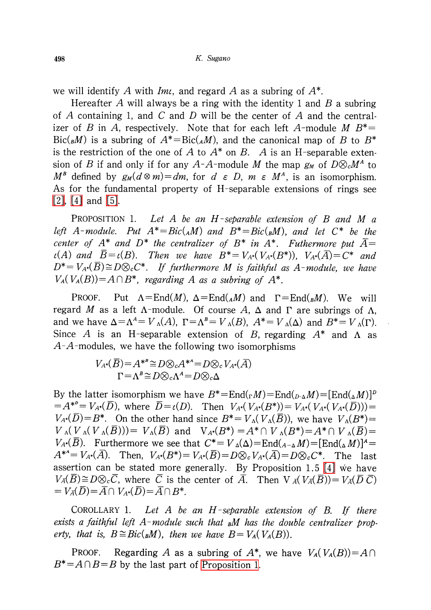we will identify  $A$  with  $\mathit{Im} \iota,$  and regard  $A$  as a subring of  $A^{*}.$ 

Hereafter A will always be a ring with the identity 1 and  $B$  a subring of A containing 1, and C and D will be the center of A and the centralizer of B in A, respectively. Note that for each left A-module M  $B^{*}=$  $Bic(_{B}M)$  is a subring of  $A^{*}=Bic(_{A}M)$ , and the canonical map of B to  $B^{*}$ is the restriction of the one of A to  $A^{*}$  on B. A is an H-separable extension of B if and only if for any A-A-module M the map  $g_{M}$  of  $D\otimes_{c}M^{A}$  to  $M^{B}$  defined by  $g_{M}(d\otimes m)=dm$ , for  $d\in D$ ,  $m\in M^{A}$ , is an isomorphism. As for the fundamental property of H-separable extensions of rings see [\[2\],](#page-4-1) [\[4\]](#page-4-2) and [\[5\].](#page-4-3)

<span id="page-1-0"></span>PROPOSITION 1. Let A be an H-separable extension of B and M  $\alpha$ left A-module. Put  $A^{*}=Bic({}_{A}M)$  and  $B^{*}=Bic({}_{B}M)$ , and let  $C^{*}$  be the center of  $A^{*}$  and  $D^{*}$  the centralizer of  $B^{*}$  in  $A^{*}$ . Futhermore put  $\overline{A}=$  $\iota(A)$  and  $B=\iota(B)$ . Then we have  $B^{*}=V_{A^{*}}(V_{A^{*}}(B^{*}))$ ,  $V_{A^{*}}(\overline{A})=C^{*}$  and  $D^{*}=V_{A^{*}}(\overline{B})\cong D\otimes_{c}C^{*}$ . If furthermore M is faithful as A-module, we have  $V_{A}(V_{A}(B))=A\cap B^{*}$ , regarding A as a subring of  $A^{*}$ .

PROOF. Put  $\Lambda=\text{End}(M)$ ,  $\Delta=\text{End}(_{A}M)$  and  $\Gamma=\text{End}(_{B}M)$ . We will regard  $M$  as a left  $\Lambda$ -module. Of course  $A$ ,  $\Delta$  and  $\Gamma$  are subrings of  $\Lambda$ , and we have  $\Delta{=}\Lambda^{A}=V_{\Lambda}(A)$ ,  $\Gamma{=}\Lambda^{B}=V_{\Lambda}(B)$ ,  $A^{*}=V_{\Lambda}(\Delta)$  and  $B^{*}=V_{\Lambda}(\Gamma)$ . Since A is an H-separable extension of B, regarding  $A^{*}$  and  $\Lambda$  as  $A-A$ -modules, we have the following two isomorphisms

$$
V_{A^*}(\overline{B}) = A^{*B} \cong D \otimes_c A^{*A} = D \otimes_c V_{A^*}(\overline{A})
$$
  
 
$$
\Gamma = \Lambda^B \cong D \otimes_c \Lambda^A = D \otimes_c \Delta
$$

By the latter isomorphism we have  $B^{*}=End({_{\Gamma}M})=End({_{D-\Delta}M})=[End({_{\Delta}M})]^{D}$  $=A^{*^{p}}=V_{A^{*}}(D)$ , where  $D=\iota(D)$ . Then  $V_{A^{*}}(V_{A^{*}}(B^{*}))=V_{A^{*}}(V_{A^{*}}(V_{A^{*}}(\overline{D})))=$  $V_{A^{*}}(D)=B^{*}$ . On the other hand since  $B^{*}=V_{\Lambda}(V_{\Lambda}(B))$ , we have  $V_{\Lambda}(B^{*})=$  $V_{\Lambda}(V_{\Lambda}(V_{\Lambda}(\overline{B})))=V_{\Lambda}(\overline{B})$  and  $V_{A^{*}}(B^{*})=A^{*}\cap V_{\Lambda}(B^{*})=A^{*}\cap V_{\Lambda}(\overline{B})=$  $V_{A^{*}}(B)$ . Furthermore we see that  $C^{*}=V_{\Delta}(\Delta)=\text{End}({}_{A-\Delta}M)=[\text{End}({}_{\Delta}M)]^{A}=$  $A^{*^a} = V_{A^*}(A)$ . Then,  $V_{A^*}(B^{*}) = V_{A^*}(\overline{B}) = D\otimes_{c}V_{A^*}(\overline{A}) = D\otimes_{c}C^{*}$ . The last assertion can be stated more generally. By Proposition 1.5 [\[4\]](#page-4-2) we have  $V_{\overline{A}}(\overline{B})\cong D\otimes_{c}\overline{C}$ , where  $\overline{C}$  is the center of  $\overline{A}$ . Then  $V_{\overline{A}}(V_{\overline{A}}(\overline{B}))=V_{\overline{A}}(\overline{D}\ \overline{C})$  $=V_{\overline{A}}(\overline{D})=\overline{A}\cap V_{A^*}(\overline{D})=\overline{A}\cap B^{*}.$ 

<span id="page-1-1"></span>COROLLARY 1. Let A be an  $H$ -separable extension of B. If there exists a faithful left A-module such that  $<sub>B</sub>M$  has the double centralizer prop-</sub> erty, that is,  $B \cong Bic({_{B}M})$ , then we have  $B=V_{A}(V_{A}(B))$ .

PROOF. Regarding A as a subring of  $A^{*}$ , we have  $V_{A}(V_{A}(B)) = A\cap$  $B^{*}=A\cap B=B$  by the last part of [Proposition](#page-1-0) 1.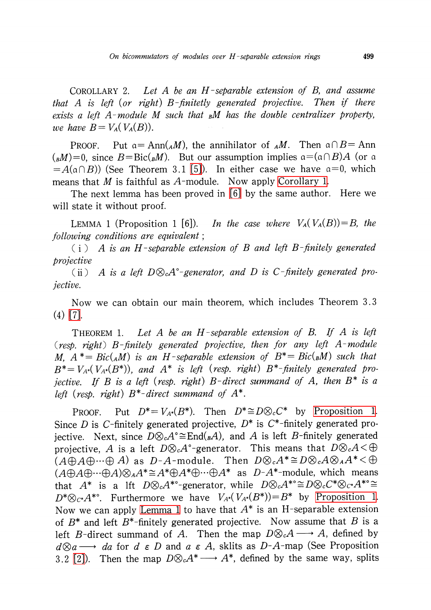<span id="page-2-2"></span>COROLLARY 2. Let A be an  $H$ -separable extension of B, and assume that A is left (or right) B-finitetly generated projective. Then if there exists a left A-module M such that  $<sub>B</sub>M$  has the double centralizer property,</sub> we have  $B=V_{A}(V_{A}(B)).$ 

PROOF. Put  $a = Ann(_{A}M)$ , the annihilator of  $<sub>A</sub>M$ . Then  $a \cap B = Ann$ </sub>  $(_{B}M)=0$ , since  $B=\text{Bic}({_{B}}M)$ . But our assumption implies  $\mathfrak{a}=(\mathfrak{a}\cap B)A$  (or  $\mathfrak{a}$  $=A(\mathfrak{a}\cap B)$ ) (See Theorem 3.1 [\[5\]\)](#page-4-3). In either case we have  $\mathfrak{a}=0,$  which means that M is faithful as  $A$ -module. Now apply [Corollary](#page-1-1) 1.

The next lemma has been proved in [\[6\]](#page-4-4) by the same author. Here we will state it without proof.

<span id="page-2-1"></span>LEMMA 1 (Proposition 1 [6]). In the case where  $V_{A}(V_{A}(B))=B$ , the following conditions are equivalent;

 $(i)$  A is an H-separable extension of B and left B-finitely generated projective

(ii) A is a left  $D\otimes_{c}A^{\circ}$ -generator, and D is C-finitely generated projective.

Now we can obtain our main theorem, which includes Theorem 3. <sup>3</sup> (4) [\[7\].](#page-4-0)

<span id="page-2-0"></span>THEOREM 1. Let A be an H-separable extension of B. If A is left (resp. right) B-finitely generated projective, then for any left  $A$ -module M,  $A^{*}=Bic({}_{A}M)$  is an H-separable extension of  $B^{*}=Bic({}_{B}M)$  such that  $B^{*}=V_{A*}(V_{A*}(B^{*}))$ , and  $A^{*}$  is left (resp. right)  $B^{*}-$ finitely generated projective. If B is a left (resp. right) B-direct summand of A, then  $B^{*}$  is a left (resp. right)  $B^{*}-direct$  summand of  $A^{*}.$ 

PROOF. Put  $D^{*}=V_{A^{*}}(B^{*})$ . Then  $D^{*}\cong D\otimes_{c}C^{*}$  by [Proposition](#page-1-0) 1. Since D is C-finitely generated projective,  $D^{*}$  is C<sup>\*</sup>-finitely generated projective. Next, since  $D\otimes_{c}A^{\circ} {\cong} \mathrm{End}({}_B A)$ , and  $A$  is left  $B$ -finitely generated projective, A is a left  $D\otimes_{c}A^{\circ}$ -generator. This means that  $D\otimes_{c}A<\oplus$  $(A\oplus A\oplus\cdots\oplus A)$  as D-A-module. Then  $D\otimes_{c}A^{*}\cong D\otimes_{c}A\otimes_{A}A^{*}<\oplus$  $(A\oplus A\oplus\cdots\oplus A)\otimes_{A}A^{*}\cong A^{*}\oplus A^{*}\oplus\cdots\oplus A^{*}$  as  $D-A^{*}-$ module, which means that  $A^{*}$  is a lft  $D\otimes_{c}A^{*0}$ -generator, while  $D\otimes_{c}A^{*0}\cong D\otimes_{c}C^{*}\otimes_{C^{*}}A^{*0}\cong$  $D^{*}\otimes_{C^{*}}A^{*0}$ . Furthermore we have  $V_{A*}(V_{A*}(B^{*}))=B^{*}$  by [Proposition](#page-1-0) 1. Now we can apply [Lemma](#page-2-1) 1 to have that  $A^{*}$  is an H-separable extension of  $B^{*}$  and left  $B^{*}$ -finitely generated projective. Now assume that B is a left B-direct summand of A. Then the map  $D\otimes_{c}A \longrightarrow A$ , defined by  $d\otimes a \longrightarrow da$  for  $d \in D$  and  $a \in A$ , sklits as  $D-A$ -map (See Proposition da for  $d \in D$  and  $a \in A$ , sklits as  $D-A$ -map (See Proposition 3.2 [\[2\]](#page-4-1)). Then the map  $D\otimes_{c}A^{*}\longrightarrow A^{*}$ , defined by the same way, splits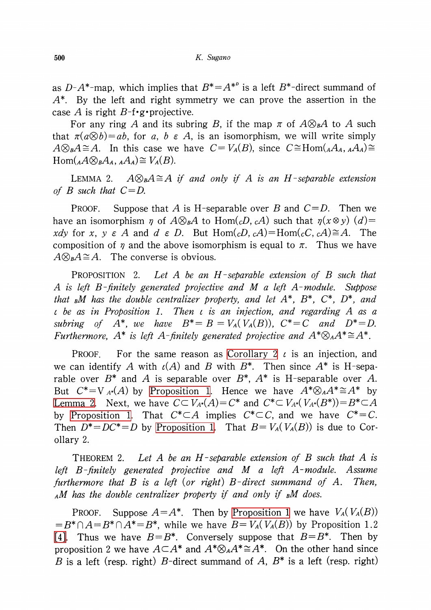as  $D-A^{*}$ -map, which implies that  $B^{*}=A^{*^{D}}$  is a left  $B^{*}$ -direct summand of  $A^{*}$ . By the left and right symmetry we can prove the assertion in the case A is right  $B$ -f $\cdot$ g $\cdot$ projective.

For any ring A and its subring B, if the map  $\pi$  of  $A\otimes_{B}A$  to A such that  $\pi(a\otimes b)=ab$ , for a, b  $\epsilon A$ , is an isomorphism, we will write simply  $A\otimes_{B}A\cong A$ . In this case we have  $C=V_{A}(B)$ , since  $C\cong Hom({_{A}A_{A}, {_{A}A_{A}}})\cong$  $\text{Hom}({}_{A}A\otimes_{B}A_{A}, {}_{A}A_{A})\cong V_{A}(B).$ 

<span id="page-3-0"></span>LEMMA 2.  $A\otimes_{B}A\cong A$  if and only if A is an H-separable extension of B such that  $C=D$ .

PROOF. Suppose that A is H-separable over B and  $C=D$ . Then we have an isomorphism  $\eta$  of  $A\otimes_{B}A$  to Hom( $_{c}D_{,c}A$ ) such that  $\eta(x\otimes y)(d)=$ xdy for x, y  $\epsilon$  A and d  $\epsilon$  D. But Hom( $_{c}D_{, c}A$ )=Hom( $_{c}C_{, c}A$ ) $\cong A$ . The composition of  $\eta$  and the above isomorphism is equal to  $\pi$ . Thus we have  $A\otimes_{B}A\cong A$ . The converse is obvious.

PROPOSITION 2. Let A be an H-separable extension of B such that A is left  $B$ -finitely generated projective and M a left  $A$ -module. Suppose that  ${}_b\!M$  has the double centralizer property, and let  $A^{*},B^{*},C^{*},D^{*},$  and  $\iota$  be as in Proposition 1. Then  $\iota$  is an injection, and regarding A as a subring of  $A^{*}$ , we have  $B^{*}=B=V_{A}(V_{A}(B))$ ,  $C^{*}=C$  and  $D^{*}=D$ . Furthermore,  $A^{*}$  is left A-finitely generated projective and  $A^{*}\otimes_{A}A^{*}\cong A^{*}.$ 

PROOF. For the same reason as [Corollary](#page-2-2) 2  $\iota$  is an injection, and we can identify  $A$  with  $\iota(A)$  and  $B$  with  $B^{*}$ . Then since  $A^{*}$  is H-separable over  $B^{*}$  and  $A$  is separable over  $B^{*}$ ,  $A^{*}$  is H-separable over  $A$ . But  $C^{*}=V_{A^{*}}(A)$  by [Proposition](#page-1-0) 1. Hence we have  $A^{*}\otimes_{A}A^{*}\cong A^{*}$  by [Lemma](#page-3-0) 2. Next, we have  $C\subset V_{A}*(A)=C^{*}$  and  $C^{*}\subset V_{A}*(V_{A}*(B^{*}))=B^{*}\subset A$ by [Proposition](#page-1-0) 1. That  $C^{*}\subset A$  implies  $C^{*}\subset C$ , and we have  $C^{*}=C$ . Then  $D^{*}=DC^{*}=D$  by [Proposition](#page-1-0) 1. That  $B=V_{A}(V_{A}(B))$  is due to Corollary 2.

THEOREM 2. Let A be an  $H$ -separable extension of B such that A is left  $B$ -finitely generated projective and M a left  $A$ -module. Assume furthermore that  $B$  is a left (or right)  $B$ -direct summand of  $A$ . Then,  $_A$ M has the double centralizer property if and only if  $_B$ M does.

PROOF. Suppose  $A=A^{*}$ . Then by [Proposition](#page-1-0) 1 we have  $V_{A}(V_{A}(B))$  $=B^{*}\cap A\!=\!B^{*}\cap A^{*}\!=\!B^{*}$ , while we have  $B\!=\!V_{A}(V_{A}(B))$  by Proposition 1.2 [\[4\].](#page-4-2) Thus we have  $B=B^{*}$ . Conversely suppose that  $B=B^{*}$ . Then by proposition 2 we have  $A{\subset} A^{*}$  and  $A^{*}{\otimes}_{A}A^{*}{\cong} A^{*}.$  On the other hand since B is a left (resp. right) B-direct summand of A,  $B^{*}$  is a left (resp. right)